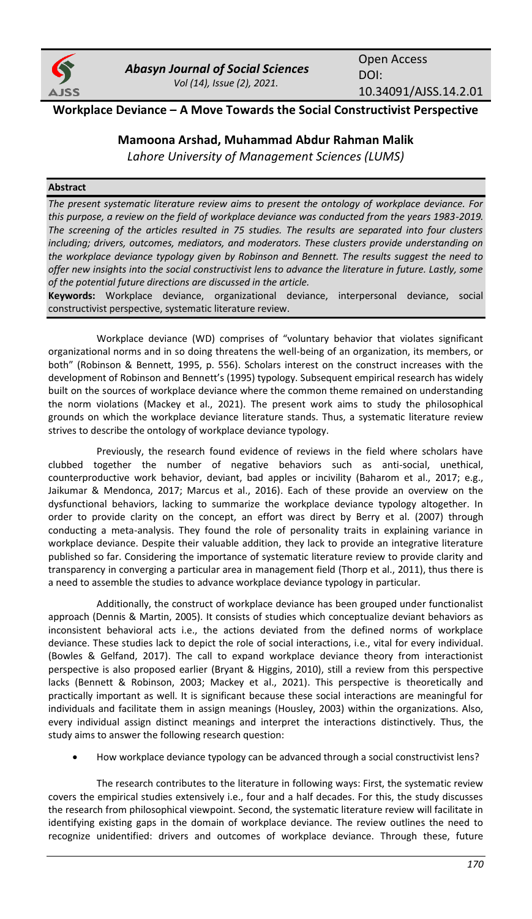

Open Access DOI: 10.34091/AJSS.14.2.01

# **Workplace Deviance – A Move Towards the Social Constructivist Perspective**

# **Mamoona Arshad, Muhammad Abdur Rahman Malik**

*Lahore University of Management Sciences (LUMS)*

## **Abstract**

*The present systematic literature review aims to present the ontology of workplace deviance. For this purpose, a review on the field of workplace deviance was conducted from the years 1983-2019. The screening of the articles resulted in 75 studies. The results are separated into four clusters including; drivers, outcomes, mediators, and moderators. These clusters provide understanding on the workplace deviance typology given by Robinson and Bennett. The results suggest the need to offer new insights into the social constructivist lens to advance the literature in future. Lastly, some of the potential future directions are discussed in the article.*

**Keywords:** Workplace deviance, organizational deviance, interpersonal deviance, social constructivist perspective, systematic literature review.

Workplace deviance (WD) comprises of "voluntary behavior that violates significant organizational norms and in so doing threatens the well-being of an organization, its members, or both" (Robinson & Bennett, 1995, p. 556). Scholars interest on the construct increases with the development of Robinson and Bennett's (1995) typology. Subsequent empirical research has widely built on the sources of workplace deviance where the common theme remained on understanding the norm violations (Mackey et al., 2021). The present work aims to study the philosophical grounds on which the workplace deviance literature stands. Thus, a systematic literature review strives to describe the ontology of workplace deviance typology.

Previously, the research found evidence of reviews in the field where scholars have clubbed together the number of negative behaviors such as anti-social, unethical, counterproductive work behavior, deviant, bad apples or incivility (Baharom et al., 2017; e.g., Jaikumar & Mendonca, 2017; Marcus et al., 2016). Each of these provide an overview on the dysfunctional behaviors, lacking to summarize the workplace deviance typology altogether. In order to provide clarity on the concept, an effort was direct by Berry et al. (2007) through conducting a meta-analysis. They found the role of personality traits in explaining variance in workplace deviance. Despite their valuable addition, they lack to provide an integrative literature published so far. Considering the importance of systematic literature review to provide clarity and transparency in converging a particular area in management field (Thorp et al., 2011), thus there is a need to assemble the studies to advance workplace deviance typology in particular*.*

Additionally, the construct of workplace deviance has been grouped under functionalist approach (Dennis & Martin, 2005). It consists of studies which conceptualize deviant behaviors as inconsistent behavioral acts i.e., the actions deviated from the defined norms of workplace deviance. These studies lack to depict the role of social interactions, i.e., vital for every individual. (Bowles & Gelfand, 2017). The call to expand workplace deviance theory from interactionist perspective is also proposed earlier (Bryant & Higgins, 2010), still a review from this perspective lacks (Bennett & Robinson, 2003; Mackey et al., 2021). This perspective is theoretically and practically important as well. It is significant because these social interactions are meaningful for individuals and facilitate them in assign meanings (Housley, 2003) within the organizations. Also, every individual assign distinct meanings and interpret the interactions distinctively. Thus, the study aims to answer the following research question:

• How workplace deviance typology can be advanced through a social constructivist lens?

The research contributes to the literature in following ways: First, the systematic review covers the empirical studies extensively i.e., four and a half decades. For this, the study discusses the research from philosophical viewpoint. Second, the systematic literature review will facilitate in identifying existing gaps in the domain of workplace deviance. The review outlines the need to recognize unidentified: drivers and outcomes of workplace deviance. Through these, future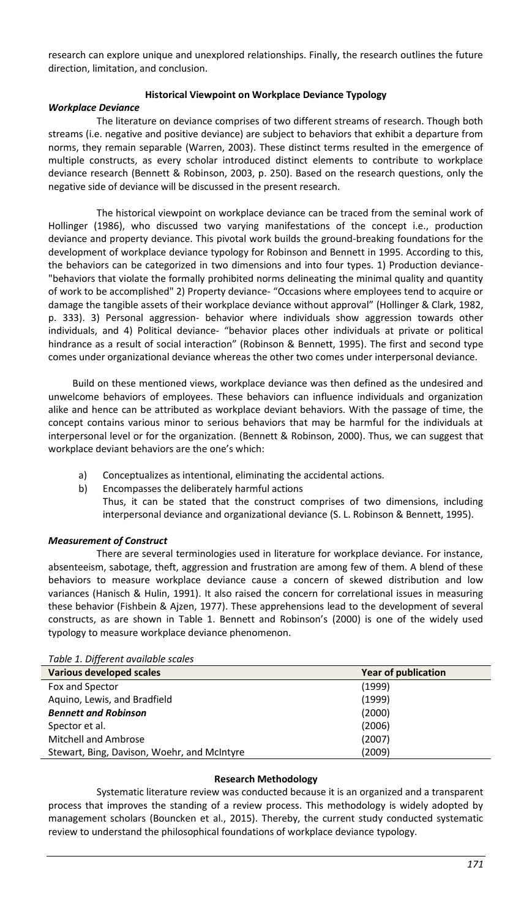research can explore unique and unexplored relationships. Finally, the research outlines the future direction, limitation, and conclusion.

### **Historical Viewpoint on Workplace Deviance Typology**

### *Workplace Deviance*

The literature on deviance comprises of two different streams of research. Though both streams (i.e. negative and positive deviance) are subject to behaviors that exhibit a departure from norms, they remain separable (Warren, 2003). These distinct terms resulted in the emergence of multiple constructs, as every scholar introduced distinct elements to contribute to workplace deviance research (Bennett & Robinson, 2003, p. 250). Based on the research questions, only the negative side of deviance will be discussed in the present research.

The historical viewpoint on workplace deviance can be traced from the seminal work of Hollinger (1986), who discussed two varying manifestations of the concept i.e., production deviance and property deviance. This pivotal work builds the ground-breaking foundations for the development of workplace deviance typology for Robinson and Bennett in 1995. According to this, the behaviors can be categorized in two dimensions and into four types. 1) Production deviance- "behaviors that violate the formally prohibited norms delineating the minimal quality and quantity of work to be accomplished" 2) Property deviance- "Occasions where employees tend to acquire or damage the tangible assets of their workplace deviance without approval" (Hollinger & Clark, 1982, p. 333). 3) Personal aggression- behavior where individuals show aggression towards other individuals, and 4) Political deviance- "behavior places other individuals at private or political hindrance as a result of social interaction" (Robinson & Bennett, 1995). The first and second type comes under organizational deviance whereas the other two comes under interpersonal deviance.

Build on these mentioned views, workplace deviance was then defined as the undesired and unwelcome behaviors of employees. These behaviors can influence individuals and organization alike and hence can be attributed as workplace deviant behaviors. With the passage of time, the concept contains various minor to serious behaviors that may be harmful for the individuals at interpersonal level or for the organization. (Bennett & Robinson, 2000). Thus, we can suggest that workplace deviant behaviors are the one's which:

- a) Conceptualizes as intentional, eliminating the accidental actions.
- b) Encompasses the deliberately harmful actions
	- Thus, it can be stated that the construct comprises of two dimensions, including interpersonal deviance and organizational deviance (S. L. Robinson & Bennett, 1995).

### *Measurement of Construct*

There are several terminologies used in literature for workplace deviance. For instance, absenteeism, sabotage, theft, aggression and frustration are among few of them. A blend of these behaviors to measure workplace deviance cause a concern of skewed distribution and low variances (Hanisch & Hulin, 1991). It also raised the concern for correlational issues in measuring these behavior (Fishbein & Ajzen, 1977). These apprehensions lead to the development of several constructs, as are shown in Table 1. Bennett and Robinson's (2000) is one of the widely used typology to measure workplace deviance phenomenon.

| <b>Year of publication</b> |
|----------------------------|
| (1999)                     |
| (1999)                     |
| (2000)                     |
| (2006)                     |
| (2007)                     |
| (2009)                     |
|                            |

*Table 1. Different available scales*

#### **Research Methodology**

Systematic literature review was conducted because it is an organized and a transparent process that improves the standing of a review process. This methodology is widely adopted by management scholars (Bouncken et al., 2015). Thereby, the current study conducted systematic review to understand the philosophical foundations of workplace deviance typology.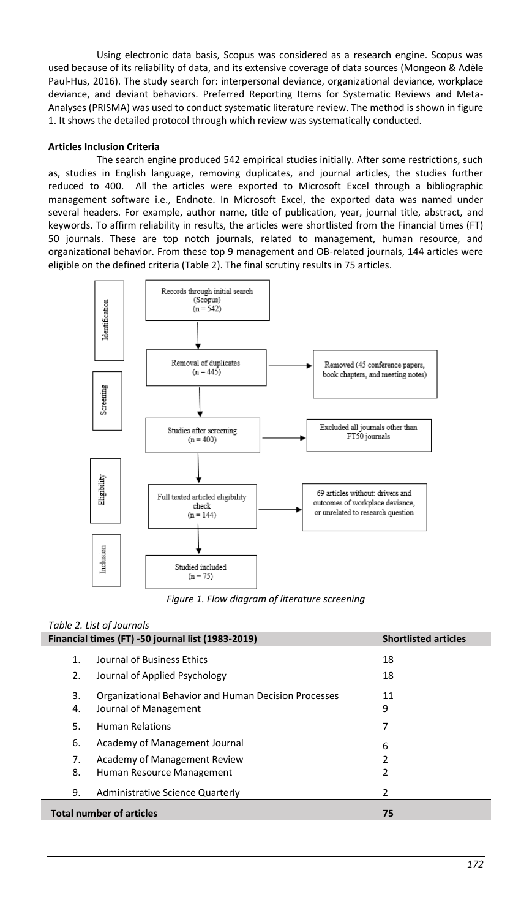Using electronic data basis, Scopus was considered as a research engine. Scopus was used because of its reliability of data, and its extensive coverage of data sources (Mongeon & Adèle Paul-Hus, 2016). The study search for: interpersonal deviance, organizational deviance, workplace deviance, and deviant behaviors. Preferred Reporting Items for Systematic Reviews and Meta-Analyses (PRISMA) was used to conduct systematic literature review. The method is shown in figure 1. It shows the detailed protocol through which review was systematically conducted.

### **Articles Inclusion Criteria**

The search engine produced 542 empirical studies initially. After some restrictions, such as, studies in English language, removing duplicates, and journal articles, the studies further reduced to 400. All the articles were exported to Microsoft Excel through a bibliographic management software i.e., Endnote. In Microsoft Excel, the exported data was named under several headers. For example, author name, title of publication, year, journal title, abstract, and keywords. To affirm reliability in results, the articles were shortlisted from the Financial times (FT) 50 journals. These are top notch journals, related to management, human resource, and organizational behavior. From these top 9 management and OB-related journals, 144 articles were eligible on the defined criteria (Table 2). The final scrutiny results in 75 articles.



*Figure 1. Flow diagram of literature screening*

## *Table 2. List of Journals*

Ī

|                                       | Financial times (FT) -50 journal list (1983-2019)                             | <b>Shortlisted articles</b> |
|---------------------------------------|-------------------------------------------------------------------------------|-----------------------------|
| $\mathbf{1}$ .<br>2.                  | Journal of Business Ethics<br>Journal of Applied Psychology                   | 18<br>18                    |
| 3.<br>4.                              | Organizational Behavior and Human Decision Processes<br>Journal of Management | 11<br>9                     |
| 5.                                    | <b>Human Relations</b>                                                        | 7                           |
| 6.                                    | Academy of Management Journal                                                 | 6                           |
| 7.                                    | Academy of Management Review                                                  |                             |
| 8.                                    | Human Resource Management                                                     | 2                           |
| 9.                                    | Administrative Science Quarterly                                              | 2                           |
| <b>Total number of articles</b><br>75 |                                                                               |                             |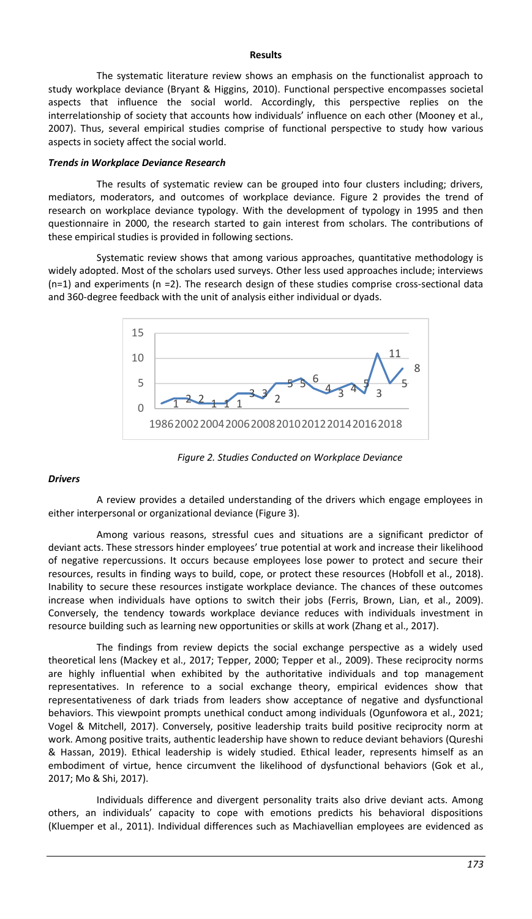#### **Results**

The systematic literature review shows an emphasis on the functionalist approach to study workplace deviance (Bryant & Higgins, 2010). Functional perspective encompasses societal aspects that influence the social world. Accordingly, this perspective replies on the interrelationship of society that accounts how individuals' influence on each other (Mooney et al., 2007). Thus, several empirical studies comprise of functional perspective to study how various aspects in society affect the social world.

#### *Trends in Workplace Deviance Research*

The results of systematic review can be grouped into four clusters including; drivers, mediators, moderators, and outcomes of workplace deviance. Figure 2 provides the trend of research on workplace deviance typology. With the development of typology in 1995 and then questionnaire in 2000, the research started to gain interest from scholars. The contributions of these empirical studies is provided in following sections.

Systematic review shows that among various approaches, quantitative methodology is widely adopted. Most of the scholars used surveys. Other less used approaches include; interviews (n=1) and experiments (n =2). The research design of these studies comprise cross-sectional data and 360-degree feedback with the unit of analysis either individual or dyads.



*Figure 2. Studies Conducted on Workplace Deviance*

#### *Drivers*

A review provides a detailed understanding of the drivers which engage employees in either interpersonal or organizational deviance (Figure 3).

Among various reasons, stressful cues and situations are a significant predictor of deviant acts. These stressors hinder employees' true potential at work and increase their likelihood of negative repercussions. It occurs because employees lose power to protect and secure their resources, results in finding ways to build, cope, or protect these resources (Hobfoll et al., 2018). Inability to secure these resources instigate workplace deviance. The chances of these outcomes increase when individuals have options to switch their jobs (Ferris, Brown, Lian, et al., 2009). Conversely, the tendency towards workplace deviance reduces with individuals investment in resource building such as learning new opportunities or skills at work (Zhang et al., 2017).

The findings from review depicts the social exchange perspective as a widely used theoretical lens (Mackey et al., 2017; Tepper, 2000; Tepper et al., 2009). These reciprocity norms are highly influential when exhibited by the authoritative individuals and top management representatives. In reference to a social exchange theory, empirical evidences show that representativeness of dark triads from leaders show acceptance of negative and dysfunctional behaviors. This viewpoint prompts unethical conduct among individuals (Ogunfowora et al., 2021; Vogel & Mitchell, 2017). Conversely, positive leadership traits build positive reciprocity norm at work. Among positive traits, authentic leadership have shown to reduce deviant behaviors (Qureshi & Hassan, 2019). Ethical leadership is widely studied. Ethical leader, represents himself as an embodiment of virtue, hence circumvent the likelihood of dysfunctional behaviors (Gok et al., 2017; Mo & Shi, 2017).

Individuals difference and divergent personality traits also drive deviant acts. Among others, an individuals' capacity to cope with emotions predicts his behavioral dispositions (Kluemper et al., 2011). Individual differences such as Machiavellian employees are evidenced as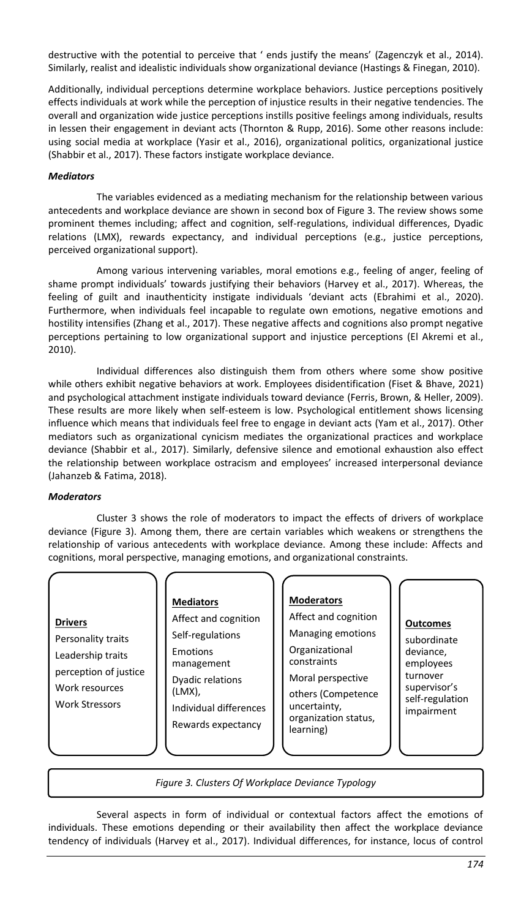destructive with the potential to perceive that ' ends justify the means' (Zagenczyk et al., 2014). Similarly, realist and idealistic individuals show organizational deviance (Hastings & Finegan, 2010).

Additionally, individual perceptions determine workplace behaviors. Justice perceptions positively effects individuals at work while the perception of injustice results in their negative tendencies. The overall and organization wide justice perceptions instills positive feelings among individuals, results in lessen their engagement in deviant acts (Thornton & Rupp, 2016). Some other reasons include: using social media at workplace (Yasir et al., 2016), organizational politics, organizational justice (Shabbir et al., 2017). These factors instigate workplace deviance.

### *Mediators*

The variables evidenced as a mediating mechanism for the relationship between various antecedents and workplace deviance are shown in second box of Figure 3. The review shows some prominent themes including; affect and cognition, self-regulations, individual differences, Dyadic relations (LMX), rewards expectancy, and individual perceptions (e.g., justice perceptions, perceived organizational support).

Among various intervening variables, moral emotions e.g., feeling of anger, feeling of shame prompt individuals' towards justifying their behaviors (Harvey et al., 2017). Whereas, the feeling of guilt and inauthenticity instigate individuals 'deviant acts (Ebrahimi et al., 2020). Furthermore, when individuals feel incapable to regulate own emotions, negative emotions and hostility intensifies (Zhang et al., 2017). These negative affects and cognitions also prompt negative perceptions pertaining to low organizational support and injustice perceptions (El Akremi et al., 2010).

Individual differences also distinguish them from others where some show positive while others exhibit negative behaviors at work. Employees disidentification (Fiset & Bhave, 2021) and psychological attachment instigate individuals toward deviance (Ferris, Brown, & Heller, 2009). These results are more likely when self-esteem is low. Psychological entitlement shows licensing influence which means that individuals feel free to engage in deviant acts (Yam et al., 2017). Other mediators such as organizational cynicism mediates the organizational practices and workplace deviance (Shabbir et al., 2017). Similarly, defensive silence and emotional exhaustion also effect the relationship between workplace ostracism and employees' increased interpersonal deviance (Jahanzeb & Fatima, 2018).

### *Moderators*

Cluster 3 shows the role of moderators to impact the effects of drivers of workplace deviance (Figure 3). Among them, there are certain variables which weakens or strengthens the relationship of various antecedents with workplace deviance. Among these include: Affects and cognitions, moral perspective, managing emotions, and organizational constraints.

#### **Drivers**

Personality traits Leadership traits perception of justice Work resources Work Stressors

#### **Mediators**

Affect and cognition Self-regulations Emotions management Dyadic relations (LMX), Individual differences Rewards expectancy

#### **Moderators**

Affect and cognition Managing emotions Organizational constraints Moral perspective

others (Competence uncertainty, organization status, learning)

#### **Outcomes**

subordinate deviance, employees turnover supervisor's self-regulation impairment

*Figure 3. Clusters Of Workplace Deviance Typology*

Several aspects in form of individual or contextual factors affect the emotions of individuals. These emotions depending or their availability then affect the workplace deviance tendency of individuals (Harvey et al., 2017). Individual differences, for instance, locus of control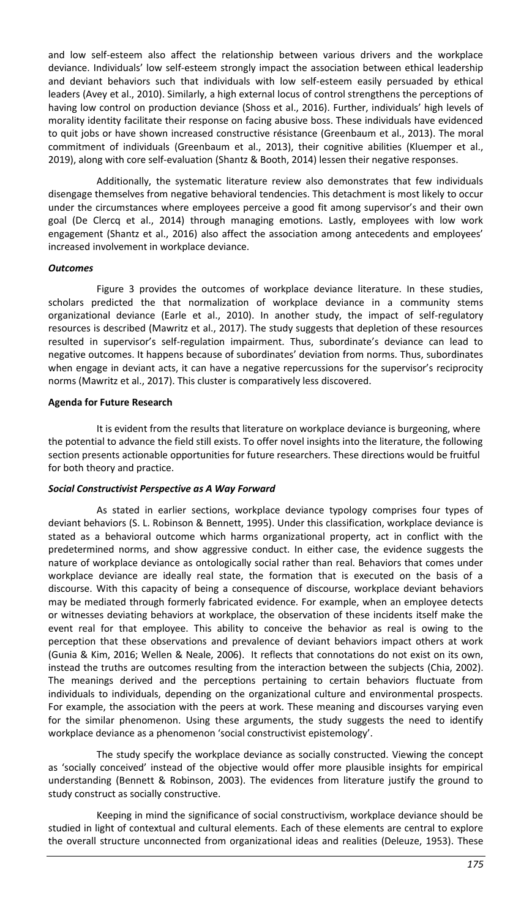and low self-esteem also affect the relationship between various drivers and the workplace deviance. Individuals' low self-esteem strongly impact the association between ethical leadership and deviant behaviors such that individuals with low self-esteem easily persuaded by ethical leaders (Avey et al., 2010). Similarly, a high external locus of control strengthens the perceptions of having low control on production deviance (Shoss et al., 2016). Further, individuals' high levels of morality identity facilitate their response on facing abusive boss. These individuals have evidenced to quit jobs or have shown increased constructive résistance (Greenbaum et al., 2013). The moral commitment of individuals (Greenbaum et al., 2013), their cognitive abilities (Kluemper et al., 2019), along with core self-evaluation (Shantz & Booth, 2014) lessen their negative responses.

Additionally, the systematic literature review also demonstrates that few individuals disengage themselves from negative behavioral tendencies. This detachment is most likely to occur under the circumstances where employees perceive a good fit among supervisor's and their own goal (De Clercq et al., 2014) through managing emotions. Lastly, employees with low work engagement (Shantz et al., 2016) also affect the association among antecedents and employees' increased involvement in workplace deviance.

### *Outcomes*

Figure 3 provides the outcomes of workplace deviance literature. In these studies, scholars predicted the that normalization of workplace deviance in a community stems organizational deviance (Earle et al., 2010). In another study, the impact of self-regulatory resources is described (Mawritz et al., 2017). The study suggests that depletion of these resources resulted in supervisor's self-regulation impairment. Thus, subordinate's deviance can lead to negative outcomes. It happens because of subordinates' deviation from norms. Thus, subordinates when engage in deviant acts, it can have a negative repercussions for the supervisor's reciprocity norms (Mawritz et al., 2017). This cluster is comparatively less discovered.

### **Agenda for Future Research**

It is evident from the results that literature on workplace deviance is burgeoning, where the potential to advance the field still exists. To offer novel insights into the literature, the following section presents actionable opportunities for future researchers. These directions would be fruitful for both theory and practice.

#### *Social Constructivist Perspective as A Way Forward*

As stated in earlier sections, workplace deviance typology comprises four types of deviant behaviors (S. L. Robinson & Bennett, 1995). Under this classification, workplace deviance is stated as a behavioral outcome which harms organizational property, act in conflict with the predetermined norms, and show aggressive conduct. In either case, the evidence suggests the nature of workplace deviance as ontologically social rather than real. Behaviors that comes under workplace deviance are ideally real state, the formation that is executed on the basis of a discourse. With this capacity of being a consequence of discourse, workplace deviant behaviors may be mediated through formerly fabricated evidence. For example, when an employee detects or witnesses deviating behaviors at workplace, the observation of these incidents itself make the event real for that employee. This ability to conceive the behavior as real is owing to the perception that these observations and prevalence of deviant behaviors impact others at work (Gunia & Kim, 2016; Wellen & Neale, 2006). It reflects that connotations do not exist on its own, instead the truths are outcomes resulting from the interaction between the subjects (Chia, 2002). The meanings derived and the perceptions pertaining to certain behaviors fluctuate from individuals to individuals, depending on the organizational culture and environmental prospects. For example, the association with the peers at work. These meaning and discourses varying even for the similar phenomenon. Using these arguments, the study suggests the need to identify workplace deviance as a phenomenon 'social constructivist epistemology'.

The study specify the workplace deviance as socially constructed. Viewing the concept as 'socially conceived' instead of the objective would offer more plausible insights for empirical understanding (Bennett & Robinson, 2003). The evidences from literature justify the ground to study construct as socially constructive.

Keeping in mind the significance of social constructivism, workplace deviance should be studied in light of contextual and cultural elements. Each of these elements are central to explore the overall structure unconnected from organizational ideas and realities (Deleuze, 1953). These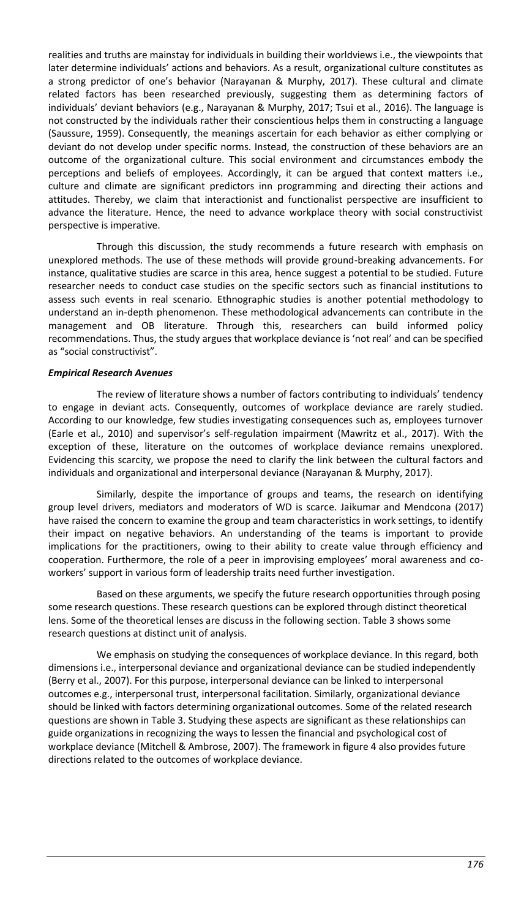realities and truths are mainstay for individuals in building their worldviews i.e., the viewpoints that later determine individuals' actions and behaviors. As a result, organizational culture constitutes as a strong predictor of one's behavior (Narayanan & Murphy, 2017). These cultural and climate related factors has been researched previously, suggesting them as determining factors of individuals' deviant behaviors (e.g., Narayanan & Murphy, 2017; Tsui et al., 2016). The language is not constructed by the individuals rather their conscientious helps them in constructing a language (Saussure, 1959). Consequently, the meanings ascertain for each behavior as either complying or deviant do not develop under specific norms. Instead, the construction of these behaviors are an outcome of the organizational culture. This social environment and circumstances embody the perceptions and beliefs of employees. Accordingly, it can be argued that context matters i.e., culture and climate are significant predictors inn programming and directing their actions and attitudes. Thereby, we claim that interactionist and functionalist perspective are insufficient to advance the literature. Hence, the need to advance workplace theory with social constructivist perspective is imperative.

Through this discussion, the study recommends a future research with emphasis on unexplored methods. The use of these methods will provide ground-breaking advancements. For instance, qualitative studies are scarce in this area, hence suggest a potential to be studied. Future researcher needs to conduct case studies on the specific sectors such as financial institutions to assess such events in real scenario. Ethnographic studies is another potential methodology to understand an in-depth phenomenon. These methodological advancements can contribute in the management and OB literature. Through this, researchers can build informed policy recommendations. Thus, the study argues that workplace deviance is 'not real' and can be specified as "social constructivist".

### *Empirical Research Avenues*

The review of literature shows a number of factors contributing to individuals' tendency to engage in deviant acts. Consequently, outcomes of workplace deviance are rarely studied. According to our knowledge, few studies investigating consequences such as, employees turnover (Earle et al., 2010) and supervisor's self-regulation impairment (Mawritz et al., 2017). With the exception of these, literature on the outcomes of workplace deviance remains unexplored. Evidencing this scarcity, we propose the need to clarify the link between the cultural factors and individuals and organizational and interpersonal deviance (Narayanan & Murphy, 2017).

Similarly, despite the importance of groups and teams, the research on identifying group level drivers, mediators and moderators of WD is scarce. Jaikumar and Mendcona (2017) have raised the concern to examine the group and team characteristics in work settings, to identify their impact on negative behaviors. An understanding of the teams is important to provide implications for the practitioners, owing to their ability to create value through efficiency and cooperation. Furthermore, the role of a peer in improvising employees' moral awareness and coworkers' support in various form of leadership traits need further investigation.

Based on these arguments, we specify the future research opportunities through posing some research questions. These research questions can be explored through distinct theoretical lens. Some of the theoretical lenses are discuss in the following section. Table 3 shows some research questions at distinct unit of analysis.

We emphasis on studying the consequences of workplace deviance. In this regard, both dimensions i.e., interpersonal deviance and organizational deviance can be studied independently (Berry et al., 2007). For this purpose, interpersonal deviance can be linked to interpersonal outcomes e.g., interpersonal trust, interpersonal facilitation. Similarly, organizational deviance should be linked with factors determining organizational outcomes. Some of the related research questions are shown in Table 3. Studying these aspects are significant as these relationships can guide organizations in recognizing the ways to lessen the financial and psychological cost of workplace deviance (Mitchell & Ambrose, 2007). The framework in figure 4 also provides future directions related to the outcomes of workplace deviance.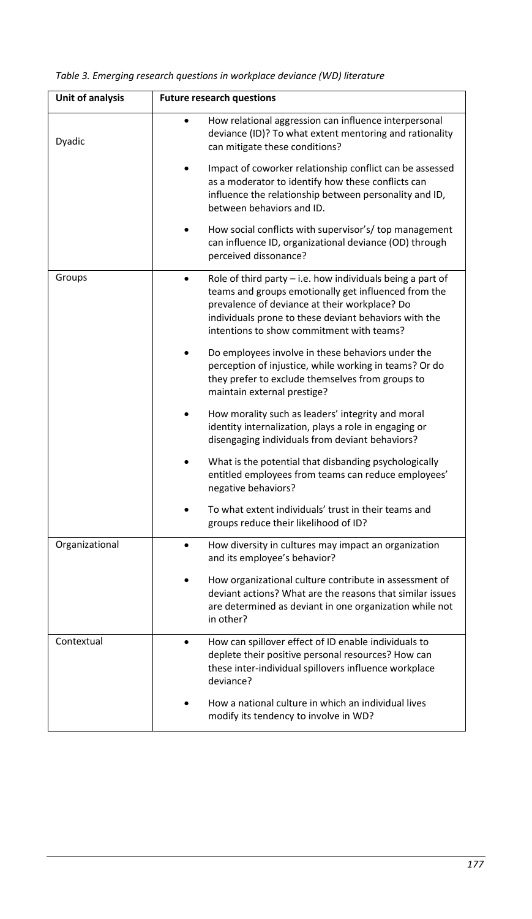| Unit of analysis | <b>Future research questions</b>                                                                                                                                                                                                                                            |  |  |
|------------------|-----------------------------------------------------------------------------------------------------------------------------------------------------------------------------------------------------------------------------------------------------------------------------|--|--|
| Dyadic           | How relational aggression can influence interpersonal<br>deviance (ID)? To what extent mentoring and rationality<br>can mitigate these conditions?                                                                                                                          |  |  |
|                  | Impact of coworker relationship conflict can be assessed<br>as a moderator to identify how these conflicts can<br>influence the relationship between personality and ID,<br>between behaviors and ID.                                                                       |  |  |
|                  | How social conflicts with supervisor's/ top management<br>can influence ID, organizational deviance (OD) through<br>perceived dissonance?                                                                                                                                   |  |  |
| Groups           | Role of third party $-$ i.e. how individuals being a part of<br>teams and groups emotionally get influenced from the<br>prevalence of deviance at their workplace? Do<br>individuals prone to these deviant behaviors with the<br>intentions to show commitment with teams? |  |  |
|                  | Do employees involve in these behaviors under the<br>perception of injustice, while working in teams? Or do<br>they prefer to exclude themselves from groups to<br>maintain external prestige?                                                                              |  |  |
|                  | How morality such as leaders' integrity and moral<br>identity internalization, plays a role in engaging or<br>disengaging individuals from deviant behaviors?                                                                                                               |  |  |
|                  | What is the potential that disbanding psychologically<br>entitled employees from teams can reduce employees'<br>negative behaviors?                                                                                                                                         |  |  |
|                  | To what extent individuals' trust in their teams and<br>groups reduce their likelihood of ID?                                                                                                                                                                               |  |  |
| Organizational   | How diversity in cultures may impact an organization<br>and its employee's behavior?                                                                                                                                                                                        |  |  |
|                  | How organizational culture contribute in assessment of<br>deviant actions? What are the reasons that similar issues<br>are determined as deviant in one organization while not<br>in other?                                                                                 |  |  |
| Contextual       | How can spillover effect of ID enable individuals to<br>deplete their positive personal resources? How can<br>these inter-individual spillovers influence workplace<br>deviance?                                                                                            |  |  |
|                  | How a national culture in which an individual lives<br>modify its tendency to involve in WD?                                                                                                                                                                                |  |  |

*Table 3. Emerging research questions in workplace deviance (WD) literature*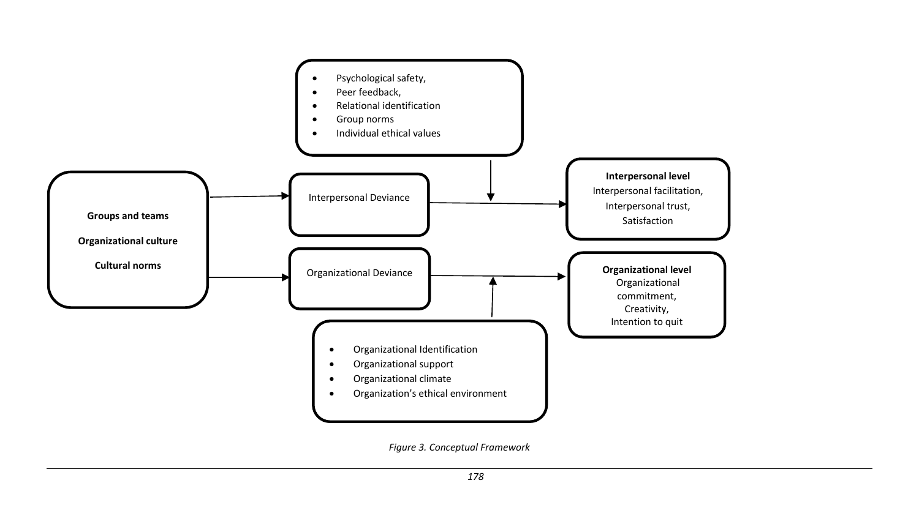

*Figure 3. Conceptual Framework*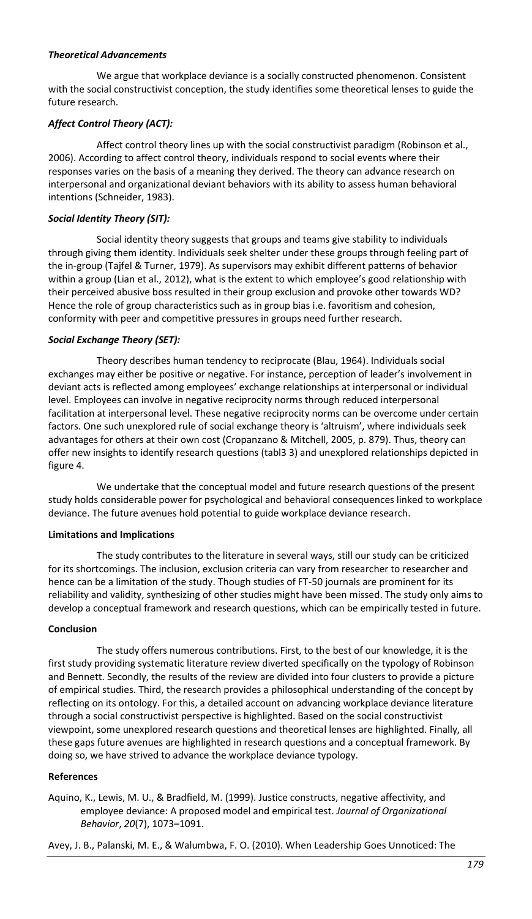### *Theoretical Advancements*

We argue that workplace deviance is a socially constructed phenomenon. Consistent with the social constructivist conception, the study identifies some theoretical lenses to guide the future research.

## *Affect Control Theory (ACT):*

Affect control theory lines up with the social constructivist paradigm (Robinson et al., 2006). According to affect control theory, individuals respond to social events where their responses varies on the basis of a meaning they derived. The theory can advance research on interpersonal and organizational deviant behaviors with its ability to assess human behavioral intentions (Schneider, 1983).

## *Social Identity Theory (SIT):*

Social identity theory suggests that groups and teams give stability to individuals through giving them identity. Individuals seek shelter under these groups through feeling part of the in-group (Tajfel & Turner, 1979). As supervisors may exhibit different patterns of behavior within a group (Lian et al., 2012), what is the extent to which employee's good relationship with their perceived abusive boss resulted in their group exclusion and provoke other towards WD? Hence the role of group characteristics such as in group bias i.e. favoritism and cohesion, conformity with peer and competitive pressures in groups need further research.

### *Social Exchange Theory (SET):*

Theory describes human tendency to reciprocate (Blau, 1964). Individuals social exchanges may either be positive or negative. For instance, perception of leader's involvement in deviant acts is reflected among employees' exchange relationships at interpersonal or individual level. Employees can involve in negative reciprocity norms through reduced interpersonal facilitation at interpersonal level. These negative reciprocity norms can be overcome under certain factors. One such unexplored rule of social exchange theory is 'altruism', where individuals seek advantages for others at their own cost (Cropanzano & Mitchell, 2005, p. 879). Thus, theory can offer new insights to identify research questions (tabl3 3) and unexplored relationships depicted in figure 4.

We undertake that the conceptual model and future research questions of the present study holds considerable power for psychological and behavioral consequences linked to workplace deviance. The future avenues hold potential to guide workplace deviance research.

### **Limitations and Implications**

The study contributes to the literature in several ways, still our study can be criticized for its shortcomings. The inclusion, exclusion criteria can vary from researcher to researcher and hence can be a limitation of the study. Though studies of FT-50 journals are prominent for its reliability and validity, synthesizing of other studies might have been missed. The study only aims to develop a conceptual framework and research questions, which can be empirically tested in future.

### **Conclusion**

The study offers numerous contributions. First, to the best of our knowledge, it is the first study providing systematic literature review diverted specifically on the typology of Robinson and Bennett. Secondly, the results of the review are divided into four clusters to provide a picture of empirical studies. Third, the research provides a philosophical understanding of the concept by reflecting on its ontology. For this, a detailed account on advancing workplace deviance literature through a social constructivist perspective is highlighted. Based on the social constructivist viewpoint, some unexplored research questions and theoretical lenses are highlighted. Finally, all these gaps future avenues are highlighted in research questions and a conceptual framework. By doing so, we have strived to advance the workplace deviance typology.

### **References**

Aquino, K., Lewis, M. U., & Bradfield, M. (1999). Justice constructs, negative affectivity, and employee deviance: A proposed model and empirical test. *Journal of Organizational Behavior*, *20*(7), 1073–1091.

Avey, J. B., Palanski, M. E., & Walumbwa, F. O. (2010). When Leadership Goes Unnoticed: The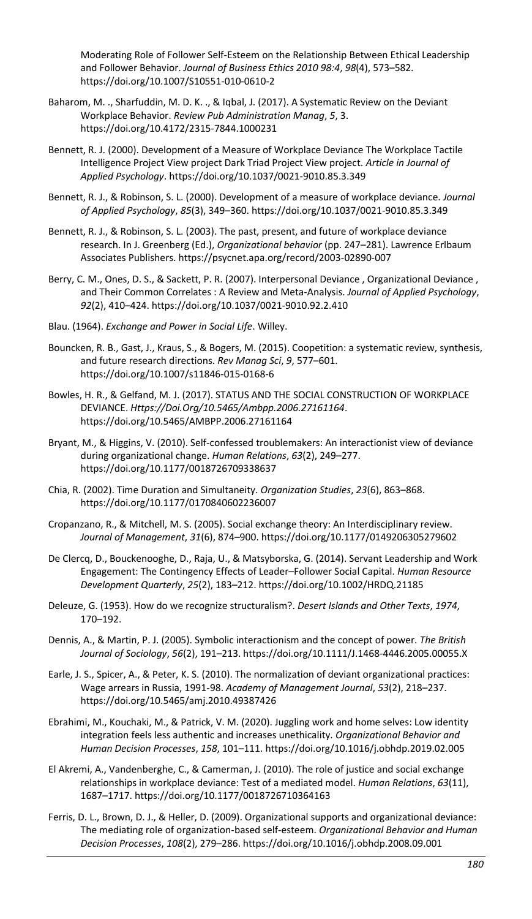Moderating Role of Follower Self-Esteem on the Relationship Between Ethical Leadership and Follower Behavior. *Journal of Business Ethics 2010 98:4*, *98*(4), 573–582. https://doi.org/10.1007/S10551-010-0610-2

- Baharom, M. ., Sharfuddin, M. D. K. ., & Iqbal, J. (2017). A Systematic Review on the Deviant Workplace Behavior. *Review Pub Administration Manag*, *5*, 3. https://doi.org/10.4172/2315-7844.1000231
- Bennett, R. J. (2000). Development of a Measure of Workplace Deviance The Workplace Tactile Intelligence Project View project Dark Triad Project View project. *Article in Journal of Applied Psychology*. https://doi.org/10.1037/0021-9010.85.3.349
- Bennett, R. J., & Robinson, S. L. (2000). Development of a measure of workplace deviance. *Journal of Applied Psychology*, *85*(3), 349–360. https://doi.org/10.1037/0021-9010.85.3.349
- Bennett, R. J., & Robinson, S. L. (2003). The past, present, and future of workplace deviance research. In J. Greenberg (Ed.), *Organizational behavior* (pp. 247–281). Lawrence Erlbaum Associates Publishers. https://psycnet.apa.org/record/2003-02890-007
- Berry, C. M., Ones, D. S., & Sackett, P. R. (2007). Interpersonal Deviance , Organizational Deviance , and Their Common Correlates : A Review and Meta-Analysis. *Journal of Applied Psychology*, *92*(2), 410–424. https://doi.org/10.1037/0021-9010.92.2.410
- Blau. (1964). *Exchange and Power in Social Life*. Willey.
- Bouncken, R. B., Gast, J., Kraus, S., & Bogers, M. (2015). Coopetition: a systematic review, synthesis, and future research directions. *Rev Manag Sci*, *9*, 577–601. https://doi.org/10.1007/s11846-015-0168-6
- Bowles, H. R., & Gelfand, M. J. (2017). STATUS AND THE SOCIAL CONSTRUCTION OF WORKPLACE DEVIANCE. *Https://Doi.Org/10.5465/Ambpp.2006.27161164*. https://doi.org/10.5465/AMBPP.2006.27161164
- Bryant, M., & Higgins, V. (2010). Self-confessed troublemakers: An interactionist view of deviance during organizational change. *Human Relations*, *63*(2), 249–277. https://doi.org/10.1177/0018726709338637
- Chia, R. (2002). Time Duration and Simultaneity. *Organization Studies*, *23*(6), 863–868. https://doi.org/10.1177/0170840602236007
- Cropanzano, R., & Mitchell, M. S. (2005). Social exchange theory: An Interdisciplinary review. *Journal of Management*, *31*(6), 874–900. https://doi.org/10.1177/0149206305279602
- De Clercq, D., Bouckenooghe, D., Raja, U., & Matsyborska, G. (2014). Servant Leadership and Work Engagement: The Contingency Effects of Leader–Follower Social Capital. *Human Resource Development Quarterly*, *25*(2), 183–212. https://doi.org/10.1002/HRDQ.21185
- Deleuze, G. (1953). How do we recognize structuralism?. *Desert Islands and Other Texts*, *1974*, 170–192.
- Dennis, A., & Martin, P. J. (2005). Symbolic interactionism and the concept of power. *The British Journal of Sociology*, *56*(2), 191–213. https://doi.org/10.1111/J.1468-4446.2005.00055.X
- Earle, J. S., Spicer, A., & Peter, K. S. (2010). The normalization of deviant organizational practices: Wage arrears in Russia, 1991-98. *Academy of Management Journal*, *53*(2), 218–237. https://doi.org/10.5465/amj.2010.49387426
- Ebrahimi, M., Kouchaki, M., & Patrick, V. M. (2020). Juggling work and home selves: Low identity integration feels less authentic and increases unethicality. *Organizational Behavior and Human Decision Processes*, *158*, 101–111. https://doi.org/10.1016/j.obhdp.2019.02.005
- El Akremi, A., Vandenberghe, C., & Camerman, J. (2010). The role of justice and social exchange relationships in workplace deviance: Test of a mediated model. *Human Relations*, *63*(11), 1687–1717. https://doi.org/10.1177/0018726710364163
- Ferris, D. L., Brown, D. J., & Heller, D. (2009). Organizational supports and organizational deviance: The mediating role of organization-based self-esteem. *Organizational Behavior and Human Decision Processes*, *108*(2), 279–286. https://doi.org/10.1016/j.obhdp.2008.09.001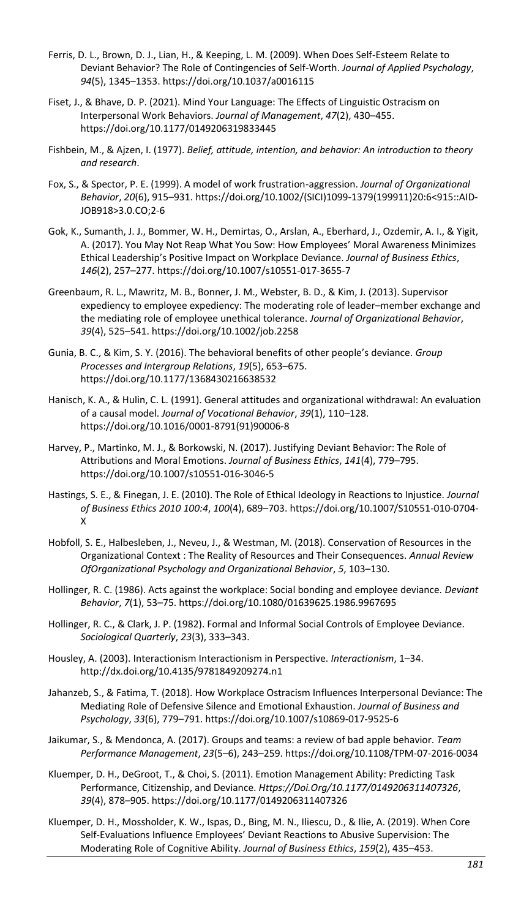- Ferris, D. L., Brown, D. J., Lian, H., & Keeping, L. M. (2009). When Does Self-Esteem Relate to Deviant Behavior? The Role of Contingencies of Self-Worth. *Journal of Applied Psychology*, *94*(5), 1345–1353. https://doi.org/10.1037/a0016115
- Fiset, J., & Bhave, D. P. (2021). Mind Your Language: The Effects of Linguistic Ostracism on Interpersonal Work Behaviors. *Journal of Management*, *47*(2), 430–455. https://doi.org/10.1177/0149206319833445
- Fishbein, M., & Ajzen, I. (1977). *Belief, attitude, intention, and behavior: An introduction to theory and research*.
- Fox, S., & Spector, P. E. (1999). A model of work frustration-aggression. *Journal of Organizational Behavior*, *20*(6), 915–931. https://doi.org/10.1002/(SICI)1099-1379(199911)20:6<915::AID-JOB918>3.0.CO;2-6
- Gok, K., Sumanth, J. J., Bommer, W. H., Demirtas, O., Arslan, A., Eberhard, J., Ozdemir, A. I., & Yigit, A. (2017). You May Not Reap What You Sow: How Employees' Moral Awareness Minimizes Ethical Leadership's Positive Impact on Workplace Deviance. *Journal of Business Ethics*, *146*(2), 257–277. https://doi.org/10.1007/s10551-017-3655-7
- Greenbaum, R. L., Mawritz, M. B., Bonner, J. M., Webster, B. D., & Kim, J. (2013). Supervisor expediency to employee expediency: The moderating role of leader–member exchange and the mediating role of employee unethical tolerance. *Journal of Organizational Behavior*, *39*(4), 525–541. https://doi.org/10.1002/job.2258
- Gunia, B. C., & Kim, S. Y. (2016). The behavioral benefits of other people's deviance. *Group Processes and Intergroup Relations*, *19*(5), 653–675. https://doi.org/10.1177/1368430216638532
- Hanisch, K. A., & Hulin, C. L. (1991). General attitudes and organizational withdrawal: An evaluation of a causal model. *Journal of Vocational Behavior*, *39*(1), 110–128. https://doi.org/10.1016/0001-8791(91)90006-8
- Harvey, P., Martinko, M. J., & Borkowski, N. (2017). Justifying Deviant Behavior: The Role of Attributions and Moral Emotions. *Journal of Business Ethics*, *141*(4), 779–795. https://doi.org/10.1007/s10551-016-3046-5
- Hastings, S. E., & Finegan, J. E. (2010). The Role of Ethical Ideology in Reactions to Injustice. *Journal of Business Ethics 2010 100:4*, *100*(4), 689–703. https://doi.org/10.1007/S10551-010-0704- X
- Hobfoll, S. E., Halbesleben, J., Neveu, J., & Westman, M. (2018). Conservation of Resources in the Organizational Context : The Reality of Resources and Their Consequences. *Annual Review OfOrganizational Psychology and Organizational Behavior*, *5*, 103–130.
- Hollinger, R. C. (1986). Acts against the workplace: Social bonding and employee deviance. *Deviant Behavior*, *7*(1), 53–75. https://doi.org/10.1080/01639625.1986.9967695
- Hollinger, R. C., & Clark, J. P. (1982). Formal and Informal Social Controls of Employee Deviance. *Sociological Quarterly*, *23*(3), 333–343.
- Housley, A. (2003). Interactionism Interactionism in Perspective. *Interactionism*, 1–34. http://dx.doi.org/10.4135/9781849209274.n1
- Jahanzeb, S., & Fatima, T. (2018). How Workplace Ostracism Influences Interpersonal Deviance: The Mediating Role of Defensive Silence and Emotional Exhaustion. *Journal of Business and Psychology*, *33*(6), 779–791. https://doi.org/10.1007/s10869-017-9525-6
- Jaikumar, S., & Mendonca, A. (2017). Groups and teams: a review of bad apple behavior. *Team Performance Management*, *23*(5–6), 243–259. https://doi.org/10.1108/TPM-07-2016-0034
- Kluemper, D. H., DeGroot, T., & Choi, S. (2011). Emotion Management Ability: Predicting Task Performance, Citizenship, and Deviance. *Https://Doi.Org/10.1177/0149206311407326*, *39*(4), 878–905. https://doi.org/10.1177/0149206311407326
- Kluemper, D. H., Mossholder, K. W., Ispas, D., Bing, M. N., Iliescu, D., & Ilie, A. (2019). When Core Self-Evaluations Influence Employees' Deviant Reactions to Abusive Supervision: The Moderating Role of Cognitive Ability. *Journal of Business Ethics*, *159*(2), 435–453.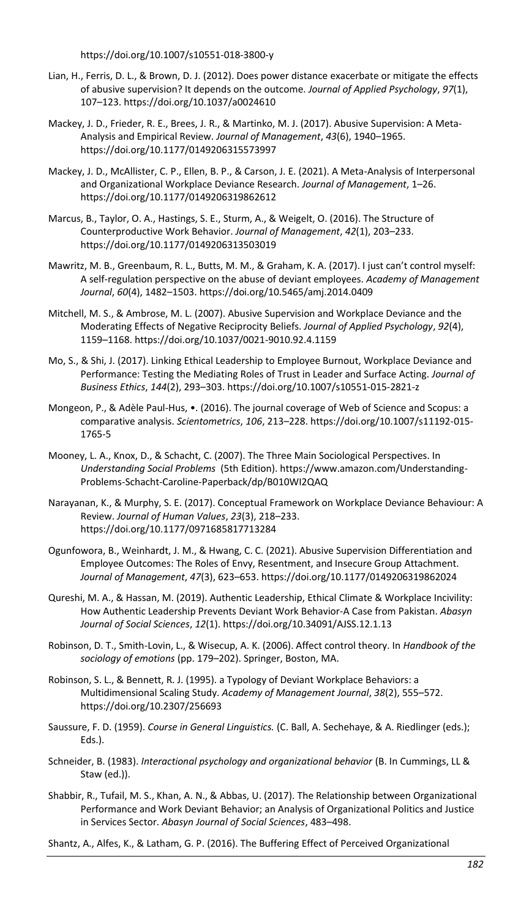https://doi.org/10.1007/s10551-018-3800-y

- Lian, H., Ferris, D. L., & Brown, D. J. (2012). Does power distance exacerbate or mitigate the effects of abusive supervision? It depends on the outcome. *Journal of Applied Psychology*, *97*(1), 107–123. https://doi.org/10.1037/a0024610
- Mackey, J. D., Frieder, R. E., Brees, J. R., & Martinko, M. J. (2017). Abusive Supervision: A Meta-Analysis and Empirical Review. *Journal of Management*, *43*(6), 1940–1965. https://doi.org/10.1177/0149206315573997
- Mackey, J. D., McAllister, C. P., Ellen, B. P., & Carson, J. E. (2021). A Meta-Analysis of Interpersonal and Organizational Workplace Deviance Research. *Journal of Management*, 1–26. https://doi.org/10.1177/0149206319862612
- Marcus, B., Taylor, O. A., Hastings, S. E., Sturm, A., & Weigelt, O. (2016). The Structure of Counterproductive Work Behavior. *Journal of Management*, *42*(1), 203–233. https://doi.org/10.1177/0149206313503019
- Mawritz, M. B., Greenbaum, R. L., Butts, M. M., & Graham, K. A. (2017). I just can't control myself: A self-regulation perspective on the abuse of deviant employees. *Academy of Management Journal*, *60*(4), 1482–1503. https://doi.org/10.5465/amj.2014.0409
- Mitchell, M. S., & Ambrose, M. L. (2007). Abusive Supervision and Workplace Deviance and the Moderating Effects of Negative Reciprocity Beliefs. *Journal of Applied Psychology*, *92*(4), 1159–1168. https://doi.org/10.1037/0021-9010.92.4.1159
- Mo, S., & Shi, J. (2017). Linking Ethical Leadership to Employee Burnout, Workplace Deviance and Performance: Testing the Mediating Roles of Trust in Leader and Surface Acting. *Journal of Business Ethics*, *144*(2), 293–303. https://doi.org/10.1007/s10551-015-2821-z
- Mongeon, P., & Adèle Paul-Hus, •. (2016). The journal coverage of Web of Science and Scopus: a comparative analysis. *Scientometrics*, *106*, 213–228. https://doi.org/10.1007/s11192-015- 1765-5
- Mooney, L. A., Knox, D., & Schacht, C. (2007). The Three Main Sociological Perspectives. In *Understanding Social Problems* (5th Edition). https://www.amazon.com/Understanding-Problems-Schacht-Caroline-Paperback/dp/B010WI2QAQ
- Narayanan, K., & Murphy, S. E. (2017). Conceptual Framework on Workplace Deviance Behaviour: A Review. *Journal of Human Values*, *23*(3), 218–233. https://doi.org/10.1177/0971685817713284
- Ogunfowora, B., Weinhardt, J. M., & Hwang, C. C. (2021). Abusive Supervision Differentiation and Employee Outcomes: The Roles of Envy, Resentment, and Insecure Group Attachment. *Journal of Management*, *47*(3), 623–653. https://doi.org/10.1177/0149206319862024
- Qureshi, M. A., & Hassan, M. (2019). Authentic Leadership, Ethical Climate & Workplace Incivility: How Authentic Leadership Prevents Deviant Work Behavior-A Case from Pakistan. *Abasyn Journal of Social Sciences*, *12*(1). https://doi.org/10.34091/AJSS.12.1.13
- Robinson, D. T., Smith-Lovin, L., & Wisecup, A. K. (2006). Affect control theory. In *Handbook of the sociology of emotions* (pp. 179–202). Springer, Boston, MA.
- Robinson, S. L., & Bennett, R. J. (1995). a Typology of Deviant Workplace Behaviors: a Multidimensional Scaling Study. *Academy of Management Journal*, *38*(2), 555–572. https://doi.org/10.2307/256693
- Saussure, F. D. (1959). *Course in General Linguistics.* (C. Ball, A. Sechehaye, & A. Riedlinger (eds.); Eds.).
- Schneider, B. (1983). *Interactional psychology and organizational behavior* (B. In Cummings, LL & Staw (ed.)).
- Shabbir, R., Tufail, M. S., Khan, A. N., & Abbas, U. (2017). The Relationship between Organizational Performance and Work Deviant Behavior; an Analysis of Organizational Politics and Justice in Services Sector. *Abasyn Journal of Social Sciences*, 483–498.

Shantz, A., Alfes, K., & Latham, G. P. (2016). The Buffering Effect of Perceived Organizational